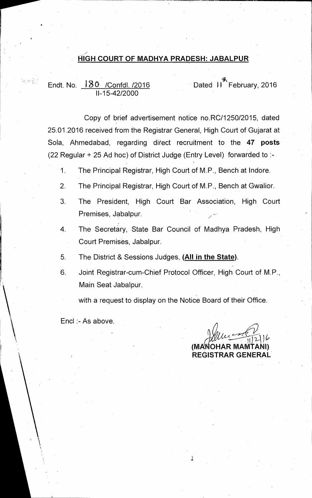## **HIGH COURT OF MADHYA PRADESH: JABALPUR**

## Endt. No. <u>180 /Confdl. /2016</u> Dated I<sup>th</sup> February, 2016 H-15-42/2000

Copy of brief advertisement notice no.RC/1250/2015, dated 25.01.2016 received from the Registrar General, High Court of Gujarat at Sola, Ahmedabad, regarding direct recruitment to the **47 posts**  (22 Regular + 25 Ad hoc) of District Judge (Entry Level) forwarded to :-

1. The Principal Registrar, High Court of M.P., Bench at Indore.

- 2. The Principal Registrar, High Court of M.P., Bench at Gwalior.
- 3. The President, High Court Bar Association, High Court Premises, Jabalpur.
- 4. The Secretary, State Bar Council of Madhya Pradesh, High Court Premises, Jabalpur.
- 5. The District & Sessions Judges, **(All in the State).**
- 6. Joint Registrar-cum-Chief Protocol Officer, High Court of M.P., Main Seat Jabalpur.

with a request to display on the Notice Board of their Office.

Encl :- As above.

**ELIGENTANI)** 

**REGISTRAR GENERAL**